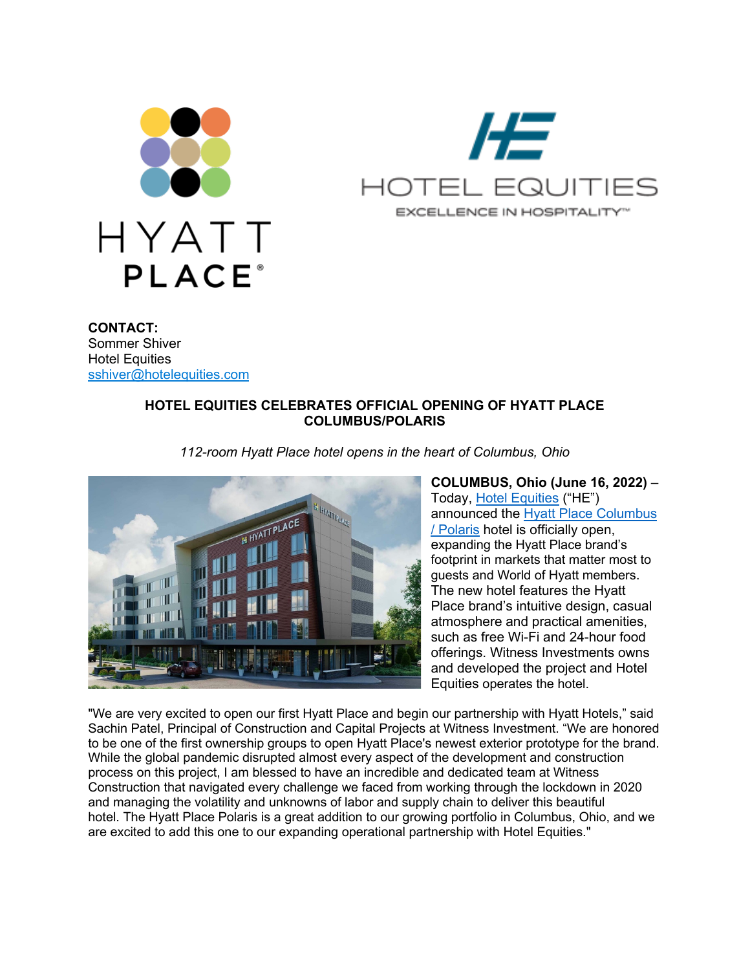



**CONTACT:** Sommer Shiver **Hotel Equities** sshiver@hotelequities.com

## **HOTEL EQUITIES CELEBRATES OFFICIAL OPENING OF HYATT PLACE COLUMBUS/POLARIS**

*112-room Hyatt Place hotel opens in the heart of Columbus, Ohio*



**COLUMBUS, Ohio (June 16, 2022)** – Today, Hotel Equities ("HE") announced the Hyatt Place Columbus / Polaris hotel is officially open, expanding the Hyatt Place brand's footprint in markets that matter most to guests and World of Hyatt members. The new hotel features the Hyatt Place brand's intuitive design, casual atmosphere and practical amenities, such as free Wi-Fi and 24-hour food offerings. Witness Investments owns and developed the project and Hotel Equities operates the hotel.

"We are very excited to open our first Hyatt Place and begin our partnership with Hyatt Hotels," said Sachin Patel, Principal of Construction and Capital Projects at Witness Investment. "We are honored to be one of the first ownership groups to open Hyatt Place's newest exterior prototype for the brand. While the global pandemic disrupted almost every aspect of the development and construction process on this project, I am blessed to have an incredible and dedicated team at Witness Construction that navigated every challenge we faced from working through the lockdown in 2020 and managing the volatility and unknowns of labor and supply chain to deliver this beautiful hotel. The Hyatt Place Polaris is a great addition to our growing portfolio in Columbus, Ohio, and we are excited to add this one to our expanding operational partnership with Hotel Equities."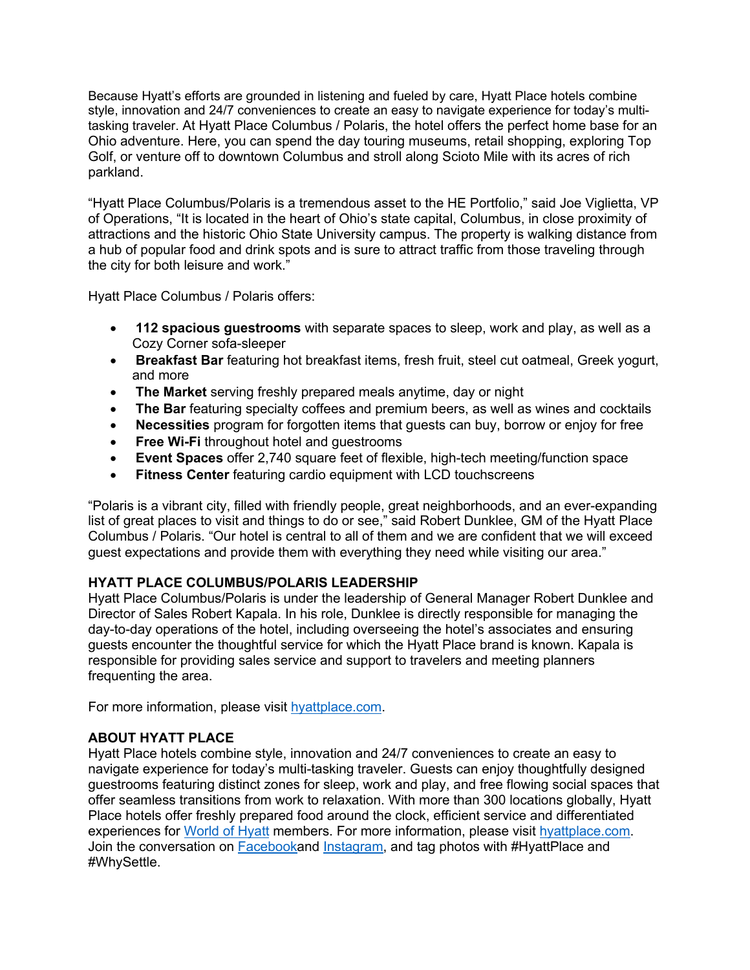Because Hyatt's efforts are grounded in listening and fueled by care, Hyatt Place hotels combine style, innovation and 24/7 conveniences to create an easy to navigate experience for today's multitasking traveler. At Hyatt Place Columbus / Polaris, the hotel offers the perfect home base for an Ohio adventure. Here, you can spend the day touring museums, retail shopping, exploring Top Golf, or venture off to downtown Columbus and stroll along Scioto Mile with its acres of rich parkland.

"Hyatt Place Columbus/Polaris is a tremendous asset to the HE Portfolio," said Joe Viglietta, VP of Operations, "It is located in the heart of Ohio's state capital, Columbus, in close proximity of attractions and the historic Ohio State University campus. The property is walking distance from a hub of popular food and drink spots and is sure to attract traffic from those traveling through the city for both leisure and work."

Hyatt Place Columbus / Polaris offers:

- **112 spacious guestrooms** with separate spaces to sleep, work and play, as well as a Cozy Corner sofa-sleeper
- **Breakfast Bar** featuring hot breakfast items, fresh fruit, steel cut oatmeal, Greek yogurt, and more
- **The Market** serving freshly prepared meals anytime, day or night
- **The Bar** featuring specialty coffees and premium beers, as well as wines and cocktails
- **Necessities** program for forgotten items that guests can buy, borrow or enjoy for free
- **Free Wi-Fi** throughout hotel and guestrooms
- **Event Spaces** offer 2,740 square feet of flexible, high-tech meeting/function space
- **Fitness Center** featuring cardio equipment with LCD touchscreens

"Polaris is a vibrant city, filled with friendly people, great neighborhoods, and an ever-expanding list of great places to visit and things to do or see," said Robert Dunklee, GM of the Hyatt Place Columbus / Polaris. "Our hotel is central to all of them and we are confident that we will exceed guest expectations and provide them with everything they need while visiting our area."

## **HYATT PLACE COLUMBUS/POLARIS LEADERSHIP**

Hyatt Place Columbus/Polaris is under the leadership of General Manager Robert Dunklee and Director of Sales Robert Kapala. In his role, Dunklee is directly responsible for managing the day-to-day operations of the hotel, including overseeing the hotel's associates and ensuring guests encounter the thoughtful service for which the Hyatt Place brand is known. Kapala is responsible for providing sales service and support to travelers and meeting planners frequenting the area.

For more information, please visit hyattplace.com.

## **ABOUT HYATT PLACE**

Hyatt Place hotels combine style, innovation and 24/7 conveniences to create an easy to navigate experience for today's multi-tasking traveler. Guests can enjoy thoughtfully designed guestrooms featuring distinct zones for sleep, work and play, and free flowing social spaces that offer seamless transitions from work to relaxation. With more than 300 locations globally, Hyatt Place hotels offer freshly prepared food around the clock, efficient service and differentiated experiences for World of Hyatt members. For more information, please visit hyattplace.com. Join the conversation on Facebookand Instagram, and tag photos with #HyattPlace and #WhySettle.